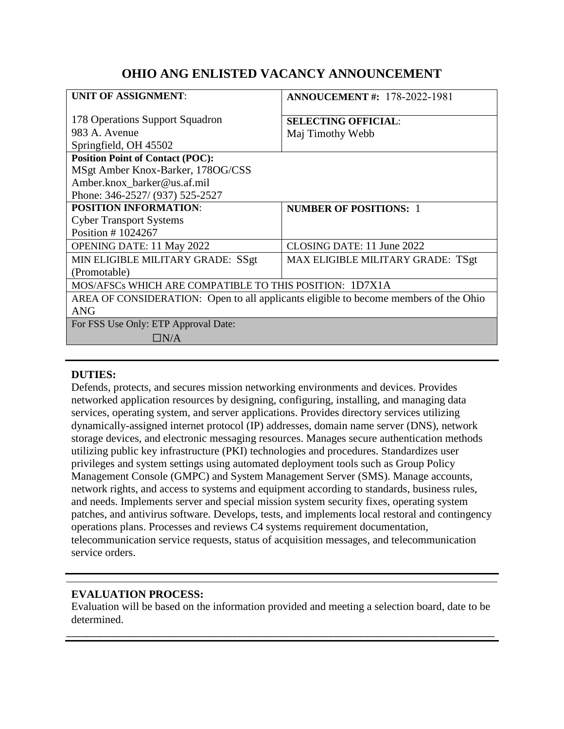# **OHIO ANG ENLISTED VACANCY ANNOUNCEMENT**

| <b>UNIT OF ASSIGNMENT:</b>                                                           | <b>ANNOUCEMENT #: 178-2022-1981</b> |
|--------------------------------------------------------------------------------------|-------------------------------------|
| 178 Operations Support Squadron                                                      | <b>SELECTING OFFICIAL:</b>          |
| 983 A. Avenue                                                                        | Maj Timothy Webb                    |
| Springfield, OH 45502                                                                |                                     |
| <b>Position Point of Contact (POC):</b>                                              |                                     |
| MSgt Amber Knox-Barker, 178OG/CSS                                                    |                                     |
| Amber.knox barker@us.af.mil                                                          |                                     |
| Phone: 346-2527/ (937) 525-2527                                                      |                                     |
| <b>POSITION INFORMATION:</b>                                                         | <b>NUMBER OF POSITIONS: 1</b>       |
| <b>Cyber Transport Systems</b>                                                       |                                     |
| Position #1024267                                                                    |                                     |
| <b>OPENING DATE: 11 May 2022</b>                                                     | CLOSING DATE: 11 June 2022          |
| MIN ELIGIBLE MILITARY GRADE: SSgt                                                    | MAX ELIGIBLE MILITARY GRADE: TSgt   |
| (Promotable)                                                                         |                                     |
| MOS/AFSCs WHICH ARE COMPATIBLE TO THIS POSITION: 1D7X1A                              |                                     |
| AREA OF CONSIDERATION: Open to all applicants eligible to become members of the Ohio |                                     |
| <b>ANG</b>                                                                           |                                     |
| For FSS Use Only: ETP Approval Date:                                                 |                                     |
| $\Box\rm{N}/\rm{A}$                                                                  |                                     |

#### **DUTIES:**

Defends, protects, and secures mission networking environments and devices. Provides networked application resources by designing, configuring, installing, and managing data services, operating system, and server applications. Provides directory services utilizing dynamically-assigned internet protocol (IP) addresses, domain name server (DNS), network storage devices, and electronic messaging resources. Manages secure authentication methods utilizing public key infrastructure (PKI) technologies and procedures. Standardizes user privileges and system settings using automated deployment tools such as Group Policy Management Console (GMPC) and System Management Server (SMS). Manage accounts, network rights, and access to systems and equipment according to standards, business rules, and needs. Implements server and special mission system security fixes, operating system patches, and antivirus software. Develops, tests, and implements local restoral and contingency operations plans. Processes and reviews C4 systems requirement documentation, telecommunication service requests, status of acquisition messages, and telecommunication service orders.

### **EVALUATION PROCESS:**

Evaluation will be based on the information provided and meeting a selection board, date to be determined.

\_\_\_\_\_\_\_\_\_\_\_\_\_\_\_\_\_\_\_\_\_\_\_\_\_\_\_\_\_\_\_\_\_\_\_\_\_\_\_\_\_\_\_\_\_\_\_\_\_\_\_\_\_\_\_\_\_\_\_\_\_\_\_\_\_\_\_\_\_\_\_\_\_\_\_\_\_\_\_\_\_\_\_\_\_